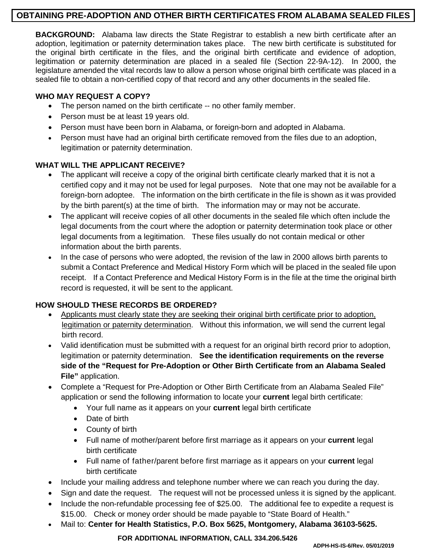# **OBTAINING PRE-ADOPTION AND OTHER BIRTH CERTIFICATES FROM ALABAMA SEALED FILES**

**BACKGROUND:** Alabama law directs the State Registrar to establish a new birth certificate after an adoption, legitimation or paternity determination takes place. The new birth certificate is substituted for the original birth certificate in the files, and the original birth certificate and evidence of adoption, legitimation or paternity determination are placed in a sealed file (Section 22-9A-12). In 2000, the legislature amended the vital records law to allow a person whose original birth certificate was placed in a sealed file to obtain a non-certified copy of that record and any other documents in the sealed file.

### **WHO MAY REQUEST A COPY?**

- The person named on the birth certificate -- no other family member.
- Person must be at least 19 years old.
- Person must have been born in Alabama, or foreign-born and adopted in Alabama.
- Person must have had an original birth certificate removed from the files due to an adoption, legitimation or paternity determination.

## **WHAT WILL THE APPLICANT RECEIVE?**

- The applicant will receive a copy of the original birth certificate clearly marked that it is not a certified copy and it may not be used for legal purposes. Note that one may not be available for a foreign-born adoptee. The information on the birth certificate in the file is shown as it was provided by the birth parent(s) at the time of birth. The information may or may not be accurate.
- The applicant will receive copies of all other documents in the sealed file which often include the legal documents from the court where the adoption or paternity determination took place or other legal documents from a legitimation. These files usually do not contain medical or other information about the birth parents.
- In the case of persons who were adopted, the revision of the law in 2000 allows birth parents to submit a Contact Preference and Medical History Form which will be placed in the sealed file upon receipt. If a Contact Preference and Medical History Form is in the file at the time the original birth record is requested, it will be sent to the applicant.

## **HOW SHOULD THESE RECORDS BE ORDERED?**

- Applicants must clearly state they are seeking their original birth certificate prior to adoption, legitimation or paternity determination. Without this information, we will send the current legal birth record.
- Valid identification must be submitted with a request for an original birth record prior to adoption, legitimation or paternity determination. **See the identification requirements on the reverse side of the "Request for Pre-Adoption or Other Birth Certificate from an Alabama Sealed File"** application.
- Complete a "Request for Pre-Adoption or Other Birth Certificate from an Alabama Sealed File" application or send the following information to locate your **current** legal birth certificate:
	- Your full name as it appears on your **current** legal birth certificate
	- Date of birth
	- County of birth
	- Full name of mother/parent before first marriage as it appears on your **current** legal birth certificate
	- Full name of father/parent before first marriage as it appears on your **current** legal birth certificate
- Include your mailing address and telephone number where we can reach you during the day.
- Sign and date the request. The request will not be processed unless it is signed by the applicant.
- Include the non-refundable processing fee of \$25.00. The additional fee to expedite a request is \$15.00. Check or money order should be made payable to "State Board of Health."
- Mail to: **Center for Health Statistics, P.O. Box 5625, Montgomery, Alabama 36103-5625.**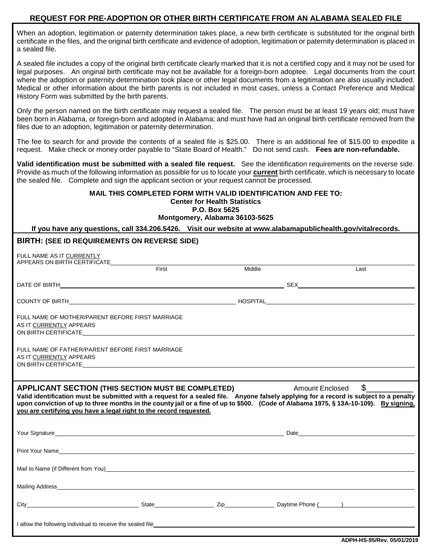#### **REQUEST FOR PRE-ADOPTION OR OTHER BIRTH CERTIFICATE FROM AN ALABAMA SEALED FILE**

When an adoption, legitimation or paternity determination takes place, a new birth certificate is substituted for the original birth certificate in the files, and the original birth certificate and evidence of adoption, legitimation or paternity determination is placed in a sealed file.

A sealed file includes a copy of the original birth certificate clearly marked that it is not a certified copy and it may not be used for legal purposes. An original birth certificate may not be available for a foreign-born adoptee. Legal documents from the court where the adoption or paternity determination took place or other legal documents from a legitimation are also usually included. Medical or other information about the birth parents is not included in most cases, unless a Contact Preference and Medical History Form was submitted by the birth parents.

Only the person named on the birth certificate may request a sealed file. The person must be at least 19 years old; must have been born in Alabama, or foreign-born and adopted in Alabama; and must have had an original birth certificate removed from the files due to an adoption, legitimation or paternity determination.

The fee to search for and provide the contents of a sealed file is \$25.00. There is an additional fee of \$15.00 to expedite a request. Make check or money order payable to "State Board of Health." Do not send cash. **Fees are non-refundable.**

**Valid identification must be submitted with a sealed file request.** See the identification requirements on the reverse side. Provide as much of the following information as possible for us to locate your **current** birth certificate, which is necessary to locate the sealed file. Complete and sign the applicant section or your request cannot be processed.

#### **MAIL THIS COMPLETED FORM WITH VALID IDENTIFICATION AND FEE TO: Center for Health Statistics**

**P.O. Box 5625**

**Montgomery, Alabama 36103-5625**

**If you have any questions, call 334.206.5426. Visit our website at www.alabamapublichealth.gov/vitalrecords.**

#### **BIRTH: (SEE ID REQUIREMENTS ON REVERSE SIDE)**

| FULL NAME AS IT CURRENTLY                                                                                                                                                                                                                                                                                                                                                                                                                     |       |        |  |      |  |
|-----------------------------------------------------------------------------------------------------------------------------------------------------------------------------------------------------------------------------------------------------------------------------------------------------------------------------------------------------------------------------------------------------------------------------------------------|-------|--------|--|------|--|
| APPEARS ON BIRTH CERTIFICATE                                                                                                                                                                                                                                                                                                                                                                                                                  | First | Middle |  | Last |  |
|                                                                                                                                                                                                                                                                                                                                                                                                                                               |       |        |  |      |  |
|                                                                                                                                                                                                                                                                                                                                                                                                                                               |       |        |  |      |  |
| FULL NAME OF MOTHER/PARENT BEFORE FIRST MARRIAGE<br>AS IT CURRENTLY APPEARS<br>ON BIRTH CERTIFICATE THE STATE OF THE STATE OF THE STATE OF THE STATE OF THE STATE OF THE STATE OF THE STATE O                                                                                                                                                                                                                                                 |       |        |  |      |  |
| FULL NAME OF FATHER/PARENT BEFORE FIRST MARRIAGE<br>AS IT CURRENTLY APPEARS<br>ON BIRTH CERTIFICATE LATER CONSUMING THE CONSUMING STATE OF A SERIES OF A SERIES OF A SERIES OF A SERIES OF A S                                                                                                                                                                                                                                                |       |        |  |      |  |
| $\frac{1}{2}$<br>APPLICANT SECTION (THIS SECTION MUST BE COMPLETED)<br>Amount Enclosed<br>Valid identification must be submitted with a request for a sealed file. Anyone falsely applying for a record is subject to a penalty<br>upon conviction of up to three months in the county jail or a fine of up to \$500. (Code of Alabama 1975, § 13A-10-109). By signing,<br>you are certifying you have a legal right to the record requested. |       |        |  |      |  |
|                                                                                                                                                                                                                                                                                                                                                                                                                                               |       |        |  |      |  |
| Print Your Name <b>Example 2018 Contract Contract Contract Contract Contract Contract Contract Contract Contract Contract Contract Contract Contract Contract Contract Contract Contract Contract Contract Contract Contract C</b>                                                                                                                                                                                                            |       |        |  |      |  |
| Mail to Name (if Different from You) example and the state of the state of the state of the state of the state of the state of the state of the state of the state of the state of the state of the state of the state of the                                                                                                                                                                                                                 |       |        |  |      |  |
|                                                                                                                                                                                                                                                                                                                                                                                                                                               |       |        |  |      |  |
|                                                                                                                                                                                                                                                                                                                                                                                                                                               |       |        |  |      |  |
| I allow the following individual to receive the sealed file                                                                                                                                                                                                                                                                                                                                                                                   |       |        |  |      |  |

 **ADPH-HS-95/Rev. 05/01/2019**